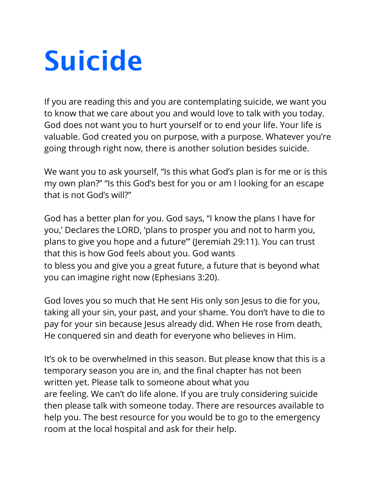## **Suicide**

If you are reading this and you are contemplating suicide, we want you to know that we care about you and would love to talk with you today. God does not want you to hurt yourself or to end your life. Your life is valuable. God created you on purpose, with a purpose. Whatever you're going through right now, there is another solution besides suicide.

We want you to ask yourself, "Is this what God's plan is for me or is this my own plan?" "Is this God's best for you or am I looking for an escape that is not God's will?"

God has a better plan for you. God says, "I know the plans I have for you,' Declares the LORD, 'plans to prosper you and not to harm you, plans to give you hope and a future'" (Jeremiah 29:11). You can trust that this is how God feels about you. God wants to bless you and give you a great future, a future that is beyond what you can imagine right now (Ephesians 3:20).

God loves you so much that He sent His only son Jesus to die for you, taking all your sin, your past, and your shame. You don't have to die to pay for your sin because Jesus already did. When He rose from death, He conquered sin and death for everyone who believes in Him.

It's ok to be overwhelmed in this season. But please know that this is a temporary season you are in, and the final chapter has not been written yet. Please talk to someone about what you are feeling. We can't do life alone. If you are truly considering suicide then please talk with someone today. There are resources available to help you. The best resource for you would be to go to the emergency room at the local hospital and ask for their help.